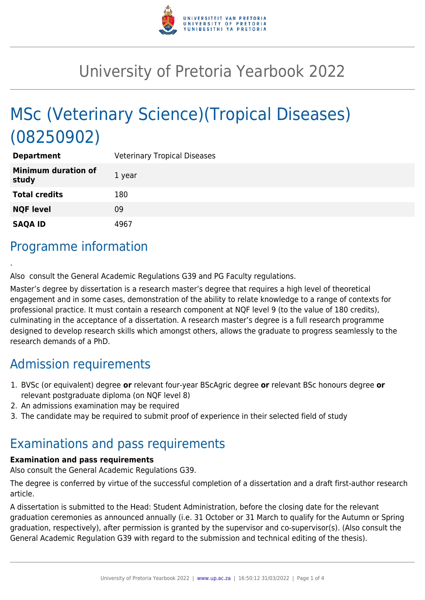

# University of Pretoria Yearbook 2022

# MSc (Veterinary Science)(Tropical Diseases) (08250902)

| <b>Department</b>                   | <b>Veterinary Tropical Diseases</b> |
|-------------------------------------|-------------------------------------|
| <b>Minimum duration of</b><br>study | 1 year                              |
| <b>Total credits</b>                | 180                                 |
| <b>NQF level</b>                    | 09                                  |
| <b>SAQA ID</b>                      | 4967                                |

## Programme information

.

Also consult the General Academic Regulations G39 and PG Faculty regulations.

Master's degree by dissertation is a research master's degree that requires a high level of theoretical engagement and in some cases, demonstration of the ability to relate knowledge to a range of contexts for professional practice. It must contain a research component at NQF level 9 (to the value of 180 credits), culminating in the acceptance of a dissertation. A research master's degree is a full research programme designed to develop research skills which amongst others, allows the graduate to progress seamlessly to the research demands of a PhD.

## Admission requirements

- 1. BVSc (or equivalent) degree **or** relevant four-year BScAgric degree **or** relevant BSc honours degree **or** relevant postgraduate diploma (on NQF level 8)
- 2. An admissions examination may be required
- 3. The candidate may be required to submit proof of experience in their selected field of study

### Examinations and pass requirements

#### **Examination and pass requirements**

Also consult the General Academic Regulations G39.

The degree is conferred by virtue of the successful completion of a dissertation and a draft first-author research article.

A dissertation is submitted to the Head: Student Administration, before the closing date for the relevant graduation ceremonies as announced annually (i.e. 31 October or 31 March to qualify for the Autumn or Spring graduation, respectively), after permission is granted by the supervisor and co-supervisor(s). (Also consult the General Academic Regulation G39 with regard to the submission and technical editing of the thesis).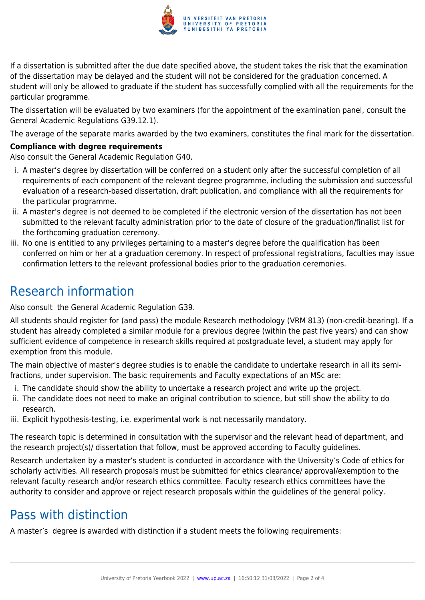

If a dissertation is submitted after the due date specified above, the student takes the risk that the examination of the dissertation may be delayed and the student will not be considered for the graduation concerned. A student will only be allowed to graduate if the student has successfully complied with all the requirements for the particular programme.

The dissertation will be evaluated by two examiners (for the appointment of the examination panel, consult the General Academic Regulations G39.12.1).

The average of the separate marks awarded by the two examiners, constitutes the final mark for the dissertation.

#### **Compliance with degree requirements**

Also consult the General Academic Regulation G40.

- i. A master's degree by dissertation will be conferred on a student only after the successful completion of all requirements of each component of the relevant degree programme, including the submission and successful evaluation of a research-based dissertation, draft publication, and compliance with all the requirements for the particular programme.
- ii. A master's degree is not deemed to be completed if the electronic version of the dissertation has not been submitted to the relevant faculty administration prior to the date of closure of the graduation/finalist list for the forthcoming graduation ceremony.
- iii. No one is entitled to any privileges pertaining to a master's degree before the qualification has been conferred on him or her at a graduation ceremony. In respect of professional registrations, faculties may issue confirmation letters to the relevant professional bodies prior to the graduation ceremonies.

### Research information

Also consult the General Academic Regulation G39.

All students should register for (and pass) the module Research methodology (VRM 813) (non-credit-bearing). If a student has already completed a similar module for a previous degree (within the past five years) and can show sufficient evidence of competence in research skills required at postgraduate level, a student may apply for exemption from this module.

The main objective of master's degree studies is to enable the candidate to undertake research in all its semifractions, under supervision. The basic requirements and Faculty expectations of an MSc are:

- i. The candidate should show the ability to undertake a research project and write up the project.
- ii. The candidate does not need to make an original contribution to science, but still show the ability to do research.
- iii. Explicit hypothesis-testing, i.e. experimental work is not necessarily mandatory.

The research topic is determined in consultation with the supervisor and the relevant head of department, and the research project(s)/ dissertation that follow, must be approved according to Faculty guidelines.

Research undertaken by a master's student is conducted in accordance with the University's Code of ethics for scholarly activities. All research proposals must be submitted for ethics clearance/ approval/exemption to the relevant faculty research and/or research ethics committee. Faculty research ethics committees have the authority to consider and approve or reject research proposals within the guidelines of the general policy.

### Pass with distinction

A master's degree is awarded with distinction if a student meets the following requirements: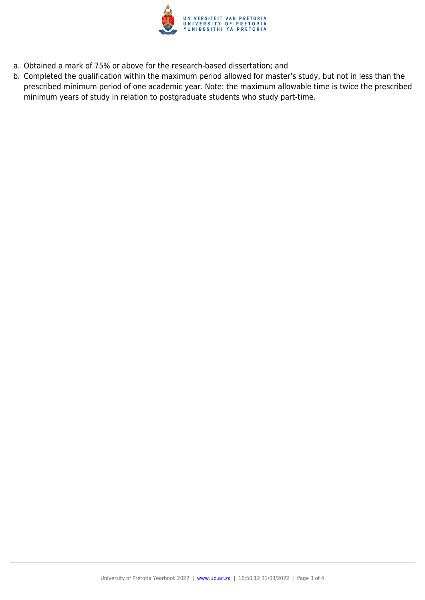

- a. Obtained a mark of 75% or above for the research-based dissertation; and
- b. Completed the qualification within the maximum period allowed for master's study, but not in less than the prescribed minimum period of one academic year. Note: the maximum allowable time is twice the prescribed minimum years of study in relation to postgraduate students who study part-time.